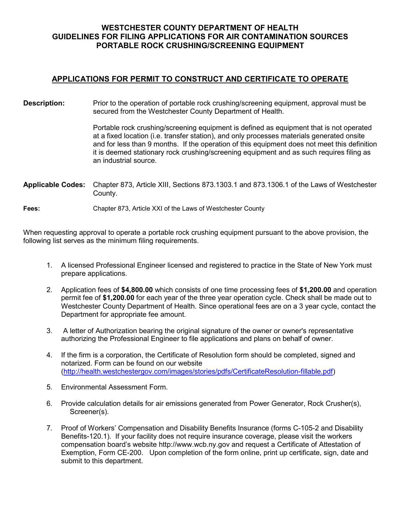## **WESTCHESTER COUNTY DEPARTMENT OF HEALTH GUIDELINES FOR FILING APPLICATIONS FOR AIR CONTAMINATION SOURCES PORTABLE ROCK CRUSHING/SCREENING EQUIPMENT**

## **APPLICATIONS FOR PERMIT TO CONSTRUCT AND CERTIFICATE TO OPERATE**

**Description:** Prior to the operation of portable rock crushing/screening equipment, approval must be secured from the Westchester County Department of Health.

> Portable rock crushing/screening equipment is defined as equipment that is not operated at a fixed location (i.e. transfer station), and only processes materials generated onsite and for less than 9 months. If the operation of this equipment does not meet this definition it is deemed stationary rock crushing/screening equipment and as such requires filing as an industrial source.

**Applicable Codes:** Chapter 873, Article XIII, Sections 873.1303.1 and 873.1306.1 of the Laws of Westchester County.

**Fees:** Chapter 873, Article XXI of the Laws of Westchester County

When requesting approval to operate a portable rock crushing equipment pursuant to the above provision, the following list serves as the minimum filing requirements.

- 1. A licensed Professional Engineer licensed and registered to practice in the State of New York must prepare applications.
- 2. Application fees of **\$4,800.00** which consists of one time processing fees of **\$1,200.00** and operation permit fee of **\$1,200.00** for each year of the three year operation cycle. Check shall be made out to Westchester County Department of Health. Since operational fees are on a 3 year cycle, contact the Department for appropriate fee amount.
- 3. A letter of Authorization bearing the original signature of the owner or owner's representative authorizing the Professional Engineer to file applications and plans on behalf of owner.
- 4. If the firm is a corporation, the Certificate of Resolution form should be completed, signed and notarized. Form can be found on our website [\(http://health.westchestergov.com/images/stories/pdfs/CertificateResolution-fillable.pdf\)](http://health.westchestergov.com/images/stories/pdfs/CertificateResolution-fillable.pdf)
- 5. Environmental Assessment Form.
- 6. Provide calculation details for air emissions generated from Power Generator, Rock Crusher(s), Screener(s).
- 7. Proof of Workers' Compensation and Disability Benefits Insurance (forms C-105-2 and Disability Benefits-120.1). If your facility does not require insurance coverage, please visit the workers compensation board's website http://www.wcb.ny.gov and request a Certificate of Attestation of Exemption, Form CE-200. Upon completion of the form online, print up certificate, sign, date and submit to this department.